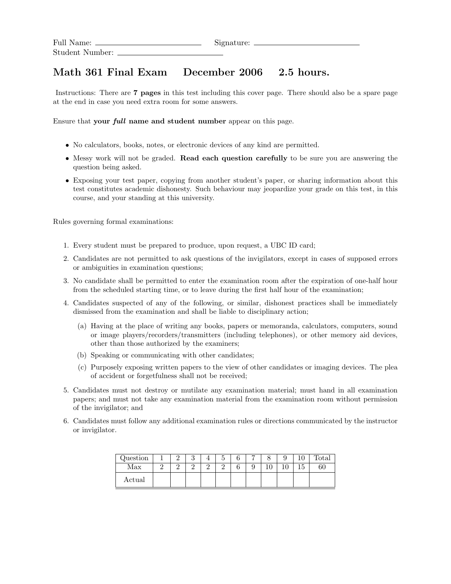## Math 361 Final Exam December 2006 2.5 hours.

Instructions: There are 7 pages in this test including this cover page. There should also be a spare page at the end in case you need extra room for some answers.

Ensure that your full name and student number appear on this page.

- No calculators, books, notes, or electronic devices of any kind are permitted.
- Messy work will not be graded. Read each question carefully to be sure you are answering the question being asked.
- Exposing your test paper, copying from another student's paper, or sharing information about this test constitutes academic dishonesty. Such behaviour may jeopardize your grade on this test, in this course, and your standing at this university.

Rules governing formal examinations:

- 1. Every student must be prepared to produce, upon request, a UBC ID card;
- 2. Candidates are not permitted to ask questions of the invigilators, except in cases of supposed errors or ambiguities in examination questions;
- 3. No candidate shall be permitted to enter the examination room after the expiration of one-half hour from the scheduled starting time, or to leave during the first half hour of the examination;
- 4. Candidates suspected of any of the following, or similar, dishonest practices shall be immediately dismissed from the examination and shall be liable to disciplinary action;
	- (a) Having at the place of writing any books, papers or memoranda, calculators, computers, sound or image players/recorders/transmitters (including telephones), or other memory aid devices, other than those authorized by the examiners;
	- (b) Speaking or communicating with other candidates;
	- (c) Purposely exposing written papers to the view of other candidates or imaging devices. The plea of accident or forgetfulness shall not be received;
- 5. Candidates must not destroy or mutilate any examination material; must hand in all examination papers; and must not take any examination material from the examination room without permission of the invigilator; and
- 6. Candidates must follow any additional examination rules or directions communicated by the instructor or invigilator.

| Question |  | ບ | ᅩ | $\tilde{\phantom{a}}$<br>IJ | -      | ູ | τn | 'otal |
|----------|--|---|---|-----------------------------|--------|---|----|-------|
| Max      |  | ົ |   | $\Omega$<br>∸               | Q<br>J |   | ΤĤ | 60    |
| Actual   |  |   |   |                             |        |   |    |       |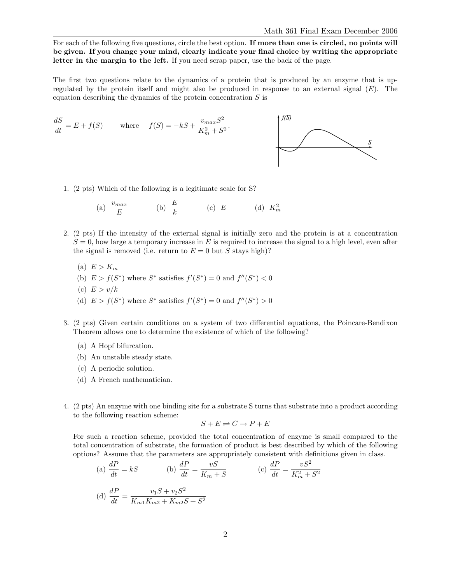*S*

For each of the following five questions, circle the best option. If more than one is circled, no points will be given. If you change your mind, clearly indicate your final choice by writing the appropriate letter in the margin to the left. If you need scrap paper, use the back of the page.

The first two questions relate to the dynamics of a protein that is produced by an enzyme that is upregulated by the protein itself and might also be produced in response to an external signal  $(E)$ . The equation describing the dynamics of the protein concentration  $S$  is

$$
\frac{dS}{dt} = E + f(S) \qquad \text{where} \qquad f(S) = -kS + \frac{v_{max}S^2}{K_m^2 + S^2}.
$$

1. (2 pts) Which of the following is a legitimate scale for S?

(a) 
$$
\frac{v_{max}}{E}
$$
 (b)  $\frac{E}{k}$  (c) E (d)  $K_m^2$ 

- 2. (2 pts) If the intensity of the external signal is initially zero and the protein is at a concentration  $S = 0$ , how large a temporary increase in E is required to increase the signal to a high level, even after the signal is removed (i.e. return to  $E = 0$  but S stays high)?
	- (a)  $E > K_m$
	- (b)  $E > f(S^*)$  where  $S^*$  satisfies  $f'(S^*) = 0$  and  $f''(S^*) < 0$
	- (c)  $E > v/k$
	- (d)  $E > f(S^*)$  where  $S^*$  satisfies  $f'(S^*) = 0$  and  $f''(S^*) > 0$
- 3. (2 pts) Given certain conditions on a system of two differential equations, the Poincare-Bendixon Theorem allows one to determine the existence of which of the following?
	- (a) A Hopf bifurcation.
	- (b) An unstable steady state.
	- (c) A periodic solution.
	- (d) A French mathematician.
- 4. (2 pts) An enzyme with one binding site for a substrate S turns that substrate into a product according to the following reaction scheme:

$$
S + E \rightleftharpoons C \rightarrow P + E
$$

For such a reaction scheme, provided the total concentration of enzyme is small compared to the total concentration of substrate, the formation of product is best described by which of the following options? Assume that the parameters are appropriately consistent with definitions given in class.

(a) 
$$
\frac{dP}{dt} = kS
$$
 (b)  $\frac{dP}{dt} = \frac{vS}{K_m + S}$  (c)  $\frac{dP}{dt} = \frac{vS^2}{K_m^2 + S^2}$   
(d)  $\frac{dP}{dt} = \frac{v_1S + v_2S^2}{K_{m1}K_{m2} + K_{m2}S + S^2}$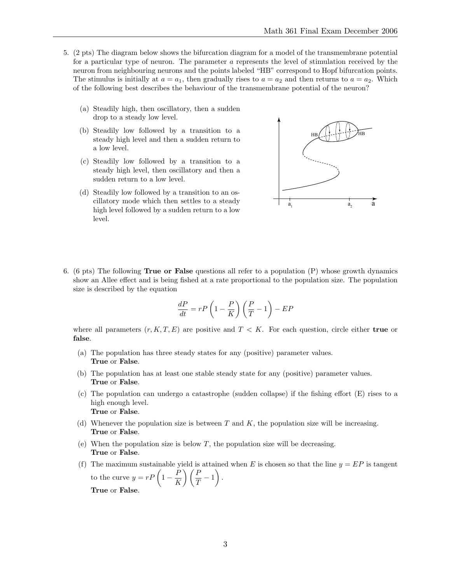- 5. (2 pts) The diagram below shows the bifurcation diagram for a model of the transmembrane potential for a particular type of neuron. The parameter a represents the level of stimulation received by the neuron from neighbouring neurons and the points labeled "HB" correspond to Hopf bifurcation points. The stimulus is initially at  $a = a_1$ , then gradually rises to  $a = a_2$  and then returns to  $a = a_2$ . Which of the following best describes the behaviour of the transmembrane potential of the neuron?
	- (a) Steadily high, then oscillatory, then a sudden drop to a steady low level.
	- (b) Steadily low followed by a transition to a steady high level and then a sudden return to a low level.
	- (c) Steadily low followed by a transition to a steady high level, then oscillatory and then a sudden return to a low level.
	- (d) Steadily low followed by a transition to an oscillatory mode which then settles to a steady high level followed by a sudden return to a low level.



6. (6 pts) The following True or False questions all refer to a population (P) whose growth dynamics show an Allee effect and is being fished at a rate proportional to the population size. The population size is described by the equation

$$
\frac{dP}{dt} = rP\left(1 - \frac{P}{K}\right)\left(\frac{P}{T} - 1\right) - EP
$$

where all parameters  $(r, K, T, E)$  are positive and  $T \leq K$ . For each question, circle either true or false.

- (a) The population has three steady states for any (positive) parameter values. True or False.
- (b) The population has at least one stable steady state for any (positive) parameter values. True or False.
- (c) The population can undergo a catastrophe (sudden collapse) if the fishing effort (E) rises to a high enough level. True or False.
- (d) Whenever the population size is between T and K, the population size will be increasing. True or False.
- (e) When the population size is below  $T$ , the population size will be decreasing. True or False.
- (f) The maximum sustainable yield is attained when E is chosen so that the line  $y = EP$  is tangent to the curve  $y = rP\left(1 - \frac{P}{V}\right)$ K  $\setminus$   $\bigcap$  $\frac{P}{T}-1\bigg).$ True or False.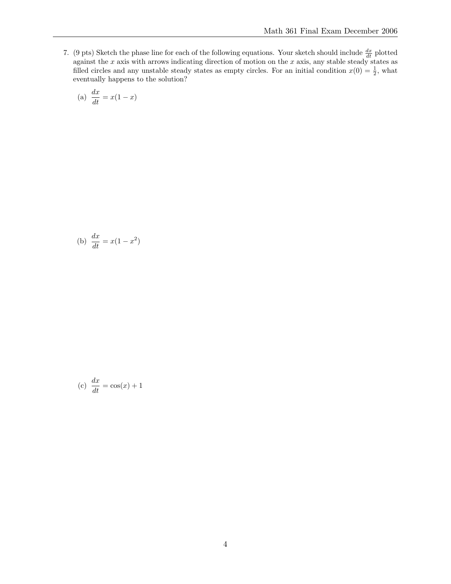7. (9 pts) Sketch the phase line for each of the following equations. Your sketch should include  $\frac{dx}{dt}$  plotted against the x axis with arrows indicating direction of motion on the  $x$  axis, any stable steady states as filled circles and any unstable steady states as empty circles. For an initial condition  $x(0) = \frac{1}{2}$ , what eventually happens to the solution?

(a) 
$$
\frac{dx}{dt} = x(1-x)
$$

(b) 
$$
\frac{dx}{dt} = x(1 - x^2)
$$

(c) 
$$
\frac{dx}{dt} = \cos(x) + 1
$$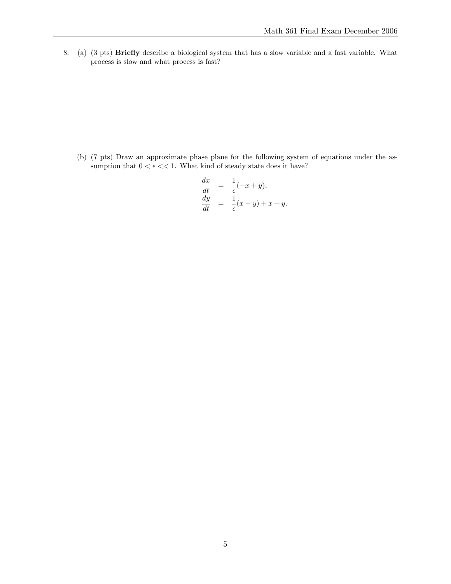8. (a) (3 pts) Briefly describe a biological system that has a slow variable and a fast variable. What process is slow and what process is fast?

(b) (7 pts) Draw an approximate phase plane for the following system of equations under the assumption that  $0<\epsilon<<1.$  What kind of steady state does it have?

$$
\begin{array}{rcl}\n\frac{dx}{dt} & = & \frac{1}{\epsilon}(-x+y), \\
\frac{dy}{dt} & = & \frac{1}{\epsilon}(x-y)+x+y.\n\end{array}
$$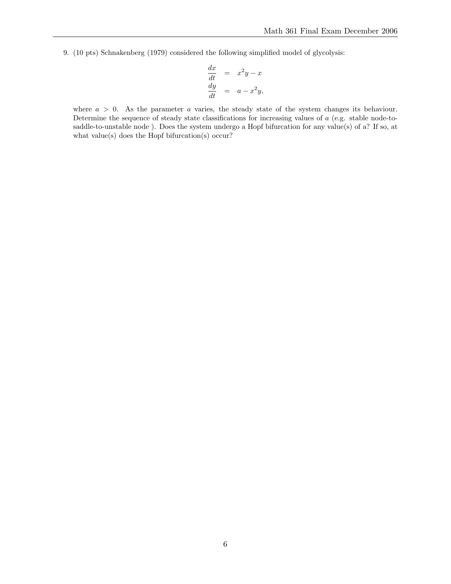9. (10 pts) Schnakenberg (1979) considered the following simplified model of glycolysis:

$$
\begin{array}{rcl}\n\frac{dx}{dt} & = & x^2y - x \\
\frac{dy}{dt} & = & a - x^2y,\n\end{array}
$$

where  $a > 0$ . As the parameter a varies, the steady state of the system changes its behaviour. Determine the sequence of steady state classifications for increasing values of a (e.g. stable node-tosaddle-to-unstable node ). Does the system undergo a Hopf bifurcation for any value(s) of a? If so, at what value(s) does the Hopf bifurcation(s) occur?